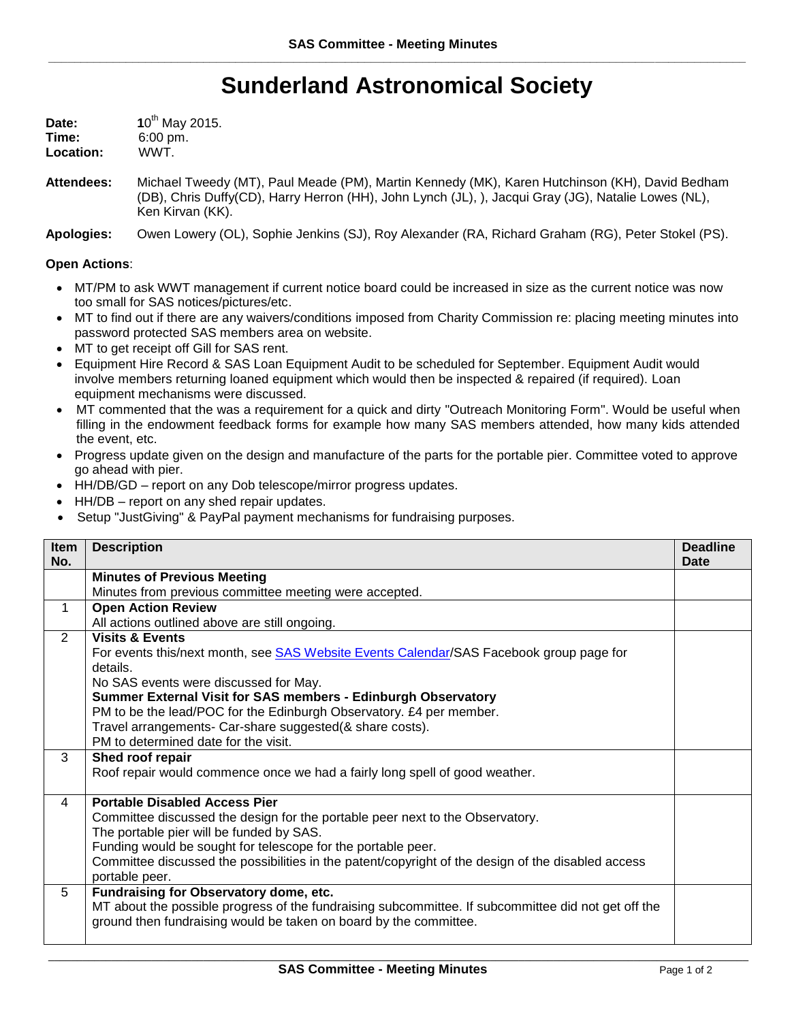## **Sunderland Astronomical Society**

| Date:     | 10 <sup>th</sup> May 2015. |
|-----------|----------------------------|
| Time:     | $6:00 \text{ pm}$ .        |
| Location: | WWT.                       |

**Attendees:** Michael Tweedy (MT), Paul Meade (PM), Martin Kennedy (MK), Karen Hutchinson (KH), David Bedham (DB), Chris Duffy(CD), Harry Herron (HH), John Lynch (JL), ), Jacqui Gray (JG), Natalie Lowes (NL), Ken Kirvan (KK).

**Apologies:** Owen Lowery (OL), Sophie Jenkins (SJ), Roy Alexander (RA, Richard Graham (RG), Peter Stokel (PS).

## **Open Actions**:

- MT/PM to ask WWT management if current notice board could be increased in size as the current notice was now too small for SAS notices/pictures/etc.
- MT to find out if there are any waivers/conditions imposed from Charity Commission re: placing meeting minutes into password protected SAS members area on website.
- MT to get receipt off Gill for SAS rent.
- Equipment Hire Record & SAS Loan Equipment Audit to be scheduled for September. Equipment Audit would involve members returning loaned equipment which would then be inspected & repaired (if required). Loan equipment mechanisms were discussed.
- MT commented that the was a requirement for a quick and dirty "Outreach Monitoring Form". Would be useful when filling in the endowment feedback forms for example how many SAS members attended, how many kids attended the event, etc.
- Progress update given on the design and manufacture of the parts for the portable pier. Committee voted to approve go ahead with pier.
- HH/DB/GD report on any Dob telescope/mirror progress updates.
- HH/DB report on any shed repair updates.
- Setup "JustGiving" & PayPal payment mechanisms for fundraising purposes.

| Item        | <b>Description</b>                                                                                  | <b>Deadline</b> |
|-------------|-----------------------------------------------------------------------------------------------------|-----------------|
| No.         |                                                                                                     | Date            |
|             | <b>Minutes of Previous Meeting</b>                                                                  |                 |
|             | Minutes from previous committee meeting were accepted.                                              |                 |
| $\mathbf 1$ | <b>Open Action Review</b>                                                                           |                 |
|             | All actions outlined above are still ongoing.                                                       |                 |
| 2           | <b>Visits &amp; Events</b>                                                                          |                 |
|             | For events this/next month, see SAS Website Events Calendar/SAS Facebook group page for             |                 |
|             | details.                                                                                            |                 |
|             | No SAS events were discussed for May.                                                               |                 |
|             | Summer External Visit for SAS members - Edinburgh Observatory                                       |                 |
|             | PM to be the lead/POC for the Edinburgh Observatory. £4 per member.                                 |                 |
|             | Travel arrangements- Car-share suggested(& share costs).                                            |                 |
|             | PM to determined date for the visit.                                                                |                 |
| 3           | Shed roof repair                                                                                    |                 |
|             | Roof repair would commence once we had a fairly long spell of good weather.                         |                 |
|             |                                                                                                     |                 |
| 4           | <b>Portable Disabled Access Pier</b>                                                                |                 |
|             | Committee discussed the design for the portable peer next to the Observatory.                       |                 |
|             | The portable pier will be funded by SAS.                                                            |                 |
|             | Funding would be sought for telescope for the portable peer.                                        |                 |
|             | Committee discussed the possibilities in the patent/copyright of the design of the disabled access  |                 |
|             | portable peer.                                                                                      |                 |
| 5           | Fundraising for Observatory dome, etc.                                                              |                 |
|             | MT about the possible progress of the fundraising subcommittee. If subcommittee did not get off the |                 |
|             | ground then fundraising would be taken on board by the committee.                                   |                 |
|             |                                                                                                     |                 |

\_\_\_\_\_\_\_\_\_\_\_\_\_\_\_\_\_\_\_\_\_\_\_\_\_\_\_\_\_\_\_\_\_\_\_\_\_\_\_\_\_\_\_\_\_\_\_\_\_\_\_\_\_\_\_\_\_\_\_\_\_\_\_\_\_\_\_\_\_\_\_\_\_\_\_\_\_\_\_\_\_\_\_\_\_\_\_\_\_\_\_\_\_\_\_\_\_\_\_\_\_\_\_\_\_\_\_\_\_\_\_\_\_\_\_\_\_\_\_\_\_\_